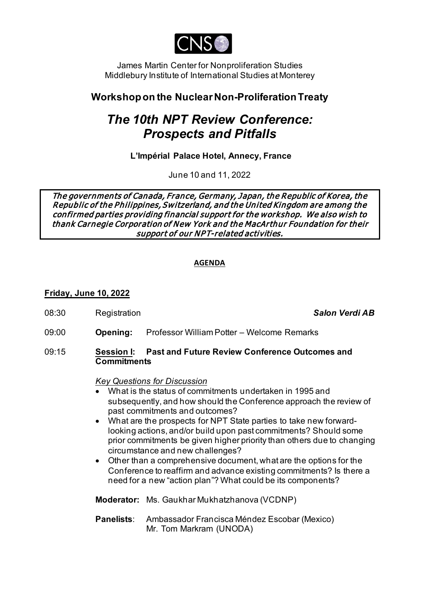

James Martin Center for Nonproliferation Studies Middlebury Institute of International Studies at Monterey

## **Workshop on the Nuclear Non-Proliferation Treaty**

# *The 10th NPT Review Conference: Prospects and Pitfalls*

**L'Impérial Palace Hotel, Annecy, France**

June 10 and 11, 2022

The governments of Canada, France, Germany, Japan, the Republic of Korea, the Republic of the Philippines, Switzerland, and the United Kingdom are among the confirmed parties providing financial support for the workshop. We also wish to thank Carnegie Corporation of New York and the MacArthur Foundation for their support of our NPT-related activities.

#### **AGENDA**

### **Friday, June 10, 2022**

08:30 Registration *Salon Verdi AB* 

09:00 **Opening:** Professor William Potter – Welcome Remarks

#### 09:15 **Session I: Past and Future Review Conference Outcomes and Commitments**

#### *Key Questions for Discussion*

- What is the status of commitments undertaken in 1995 and subsequently, and how should the Conference approach the review of past commitments and outcomes?
- What are the prospects for NPT State parties to take new forwardlooking actions, and/or build upon past commitments? Should some prior commitments be given higher priority than others due to changing circumstance and new challenges?
- Other than a comprehensive document, what are the options for the Conference to reaffirm and advance existing commitments? Is there a need for a new "action plan"? What could be its components?

**Moderator:** Ms. Gaukhar Mukhatzhanova (VCDNP)

**Panelists**: Ambassador Francisca Méndez Escobar (Mexico) Mr. Tom Markram (UNODA)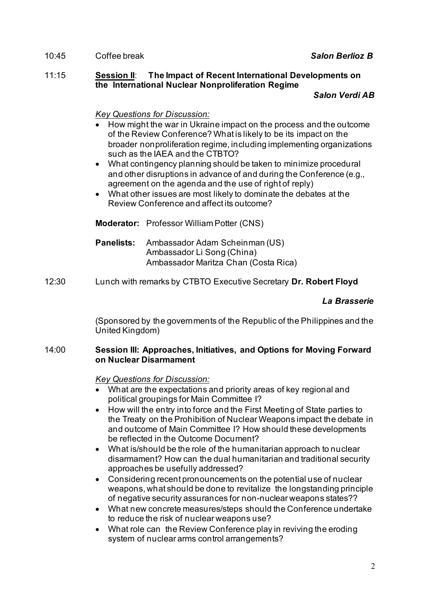#### 10:45 Coffee break *Salon Berlioz B*

#### 11:15 **Session II**: **The Impact of Recent International Developments on the International Nuclear Nonproliferation Regime**

#### *Salon Verdi AB*

*Key Questions for Discussion:*

- How might the war in Ukraine impact on the process and the outcome of the Review Conference? What is likely to be its impact on the broader nonproliferation regime, including implementing organizations such as the IAEA and the CTBTO?
- What contingency planning should be taken to minimize procedural and other disruptions in advance of and during the Conference (e.g., agreement on the agenda and the use of right of reply)
- What other issues are most likely to dominate the debates at the Review Conference and affect its outcome?

**Moderator:** Professor William Potter (CNS)

- **Panelists:** Ambassador Adam Scheinman (US) Ambassador Li Song (China) Ambassador Maritza Chan (Costa Rica)
- 12:30 Lunch with remarks by CTBTO Executive Secretary **Dr. Robert Floyd**

#### *La Brasserie*

(Sponsored by the governments of the Republic of the Philippines and the United Kingdom)

#### 14:00 **Session III: Approaches, Initiatives, and Options for Moving Forward on Nuclear Disarmament**

*Key Questions for Discussion:*

- What are the expectations and priority areas of key regional and political groupings for Main Committee I?
- How will the entry into force and the First Meeting of State parties to the Treaty on the Prohibition of Nuclear Weapons impact the debate in and outcome of Main Committee I? How should these developments be reflected in the Outcome Document?
- What is/should be the role of the humanitarian approach to nuclear disarmament? How can the dual humanitarian and traditional security approaches be usefully addressed?
- Considering recent pronouncements on the potential use of nuclear weapons, what should be done to revitalize the longstanding principle of negative security assurances for non-nuclear weapons states??
- What new concrete measures/steps should the Conference undertake to reduce the risk of nuclear weapons use?
- What role can the Review Conference play in reviving the eroding system of nuclear arms control arrangements?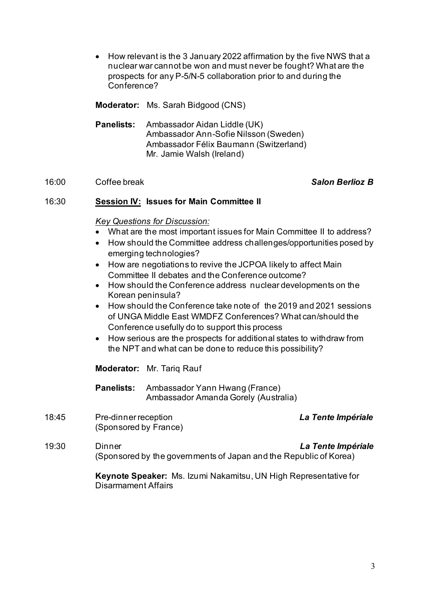• How relevant is the 3 January 2022 affirmation by the five NWS that a nuclear war cannot be won and must never be fought? What are the prospects for any P-5/N-5 collaboration prior to and during the Conference?

**Moderator:** Ms. Sarah Bidgood (CNS)

**Panelists:** Ambassador Aidan Liddle (UK) Ambassador Ann-Sofie Nilsson (Sweden) Ambassador Félix Baumann (Switzerland) Mr. Jamie Walsh (Ireland)

#### 16:00 Coffee break *Salon Berlioz B*

#### 16:30 **Session IV: Issues for Main Committee II**

#### *Key Questions for Discussion:*

- What are the most important issues for Main Committee II to address?
- How should the Committee address challenges/opportunities posed by emerging technologies?
- How are negotiations to revive the JCPOA likely to affect Main Committee II debates and the Conference outcome?
- How should the Conference address nuclear developments on the Korean peninsula?
- How should the Conference take note of the 2019 and 2021 sessions of UNGA Middle East WMDFZ Conferences? What can/should the Conference usefully do to support this process
- How serious are the prospects for additional states to withdraw from the NPT and what can be done to reduce this possibility?

**Moderator:** Mr. Tariq Rauf

**Panelists:** Ambassador Yann Hwang (France) Ambassador Amanda Gorely (Australia)

18:45 Pre-dinner reception *La Tente Impériale* (Sponsored by France)

19:30 Dinner *La Tente Impériale* (Sponsored by the governments of Japan and the Republic of Korea)

> **Keynote Speaker:** Ms. Izumi Nakamitsu, UN High Representative for Disarmament Affairs